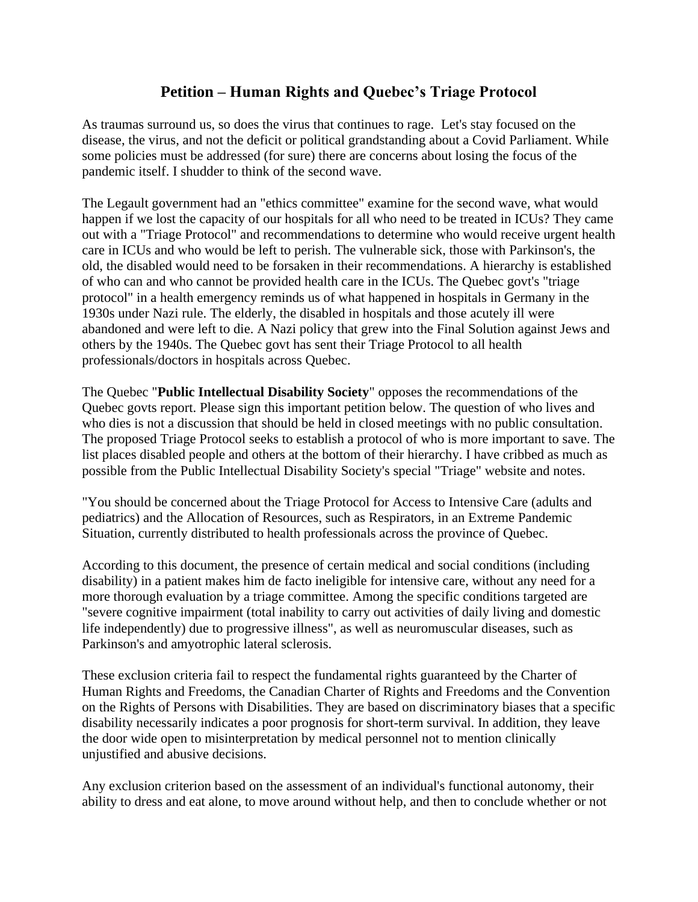## **Petition – Human Rights and Quebec's Triage Protocol**

As traumas surround us, so does the virus that continues to rage. Let's stay focused on the disease, the virus, and not the deficit or political grandstanding about a Covid Parliament. While some policies must be addressed (for sure) there are concerns about losing the focus of the pandemic itself. I shudder to think of the second wave.

The Legault government had an "ethics committee" examine for the second wave, what would happen if we lost the capacity of our hospitals for all who need to be treated in ICUs? They came out with a "Triage Protocol" and recommendations to determine who would receive urgent health care in ICUs and who would be left to perish. The vulnerable sick, those with Parkinson's, the old, the disabled would need to be forsaken in their recommendations. A hierarchy is established of who can and who cannot be provided health care in the ICUs. The Quebec govt's "triage protocol" in a health emergency reminds us of what happened in hospitals in Germany in the 1930s under Nazi rule. The elderly, the disabled in hospitals and those acutely ill were abandoned and were left to die. A Nazi policy that grew into the Final Solution against Jews and others by the 1940s. The Quebec govt has sent their Triage Protocol to all health professionals/doctors in hospitals across Quebec.

The Quebec "**Public Intellectual Disability Society**" opposes the recommendations of the Quebec govts report. Please sign this important petition below. The question of who lives and who dies is not a discussion that should be held in closed meetings with no public consultation. The proposed Triage Protocol seeks to establish a protocol of who is more important to save. The list places disabled people and others at the bottom of their hierarchy. I have cribbed as much as possible from the Public Intellectual Disability Society's special "Triage" website and notes.

"You should be concerned about the Triage Protocol for Access to Intensive Care (adults and pediatrics) and the Allocation of Resources, such as Respirators, in an Extreme Pandemic Situation, currently distributed to health professionals across the province of Quebec.

According to this document, the presence of certain medical and social conditions (including disability) in a patient makes him de facto ineligible for intensive care, without any need for a more thorough evaluation by a triage committee. Among the specific conditions targeted are "severe cognitive impairment (total inability to carry out activities of daily living and domestic life independently) due to progressive illness", as well as neuromuscular diseases, such as Parkinson's and amyotrophic lateral sclerosis.

These exclusion criteria fail to respect the fundamental rights guaranteed by the Charter of Human Rights and Freedoms, the Canadian Charter of Rights and Freedoms and the Convention on the Rights of Persons with Disabilities. They are based on discriminatory biases that a specific disability necessarily indicates a poor prognosis for short-term survival. In addition, they leave the door wide open to misinterpretation by medical personnel not to mention clinically unjustified and abusive decisions.

Any exclusion criterion based on the assessment of an individual's functional autonomy, their ability to dress and eat alone, to move around without help, and then to conclude whether or not